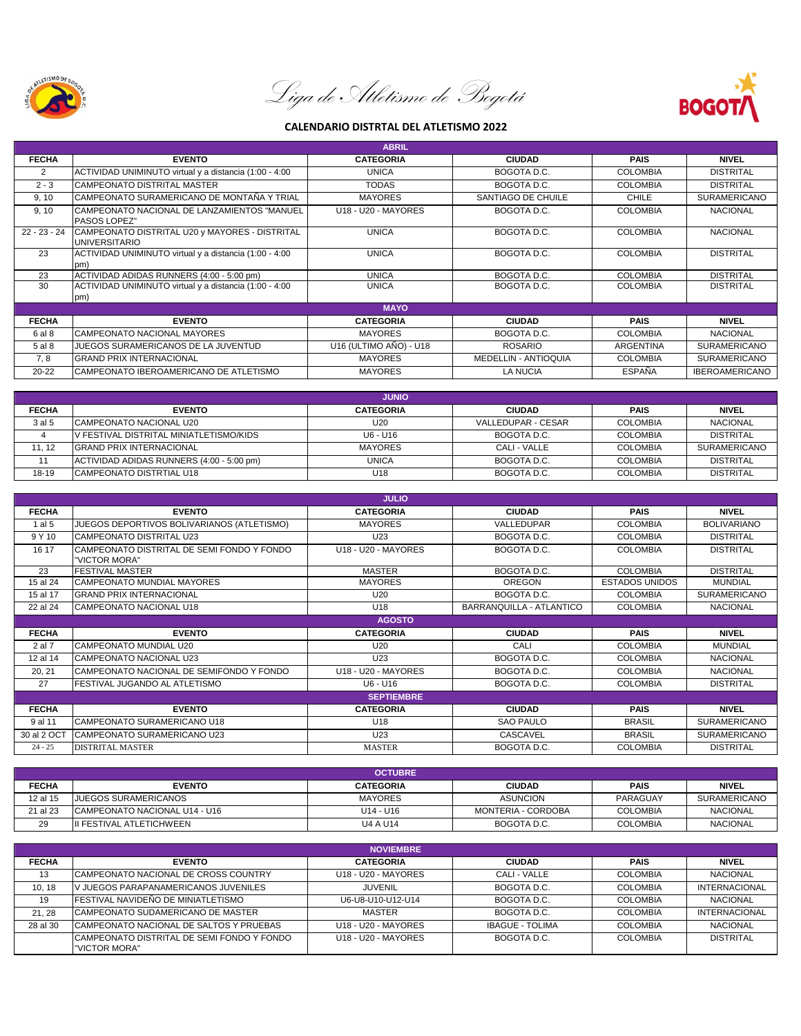

Liga de Atletismo de Bogotá



## **CALENDARIO DISTRTAL DEL ATLETISMO 2022**

| <b>ABRIL</b>   |                                                                        |                        |                      |                  |                       |  |
|----------------|------------------------------------------------------------------------|------------------------|----------------------|------------------|-----------------------|--|
| <b>FECHA</b>   | <b>EVENTO</b>                                                          | <b>CATEGORIA</b>       | <b>CIUDAD</b>        | <b>PAIS</b>      | <b>NIVEL</b>          |  |
| 2              | ACTIVIDAD UNIMINUTO virtual y a distancia (1:00 - 4:00                 | <b>UNICA</b>           | BOGOTA D.C.          | <b>COLOMBIA</b>  | <b>DISTRITAL</b>      |  |
| $2 - 3$        | CAMPEONATO DISTRITAL MASTER                                            | <b>TODAS</b>           | BOGOTA D.C.          | <b>COLOMBIA</b>  | <b>DISTRITAL</b>      |  |
| 9, 10          | ICAMPEONATO SURAMERICANO DE MONTAÑA Y TRIAL                            | <b>MAYORES</b>         | SANTIAGO DE CHUILE   | <b>CHILE</b>     | <b>SURAMERICANO</b>   |  |
| 9, 10          | CAMPEONATO NACIONAL DE LANZAMIENTOS "MANUEL<br><b>PASOS LOPEZ"</b>     | U18 - U20 - MAYORES    | BOGOTA D.C.          | <b>COLOMBIA</b>  | <b>NACIONAL</b>       |  |
| $22 - 23 - 24$ | CAMPEONATO DISTRITAL U20 y MAYORES - DISTRITAL<br><b>UNIVERSITARIO</b> | <b>UNICA</b>           | BOGOTA D.C.          | <b>COLOMBIA</b>  | <b>NACIONAL</b>       |  |
| 23             | ACTIVIDAD UNIMINUTO virtual y a distancia (1:00 - 4:00<br>pm)          | <b>UNICA</b>           | BOGOTA D.C.          | <b>COLOMBIA</b>  | <b>DISTRITAL</b>      |  |
| 23             | ACTIVIDAD ADIDAS RUNNERS (4:00 - 5:00 pm)                              | <b>UNICA</b>           | BOGOTA D.C.          | <b>COLOMBIA</b>  | <b>DISTRITAL</b>      |  |
| 30             | ACTIVIDAD UNIMINUTO virtual y a distancia (1:00 - 4:00<br>pm)          | <b>UNICA</b>           | BOGOTA D.C.          | <b>COLOMBIA</b>  | <b>DISTRITAL</b>      |  |
| <b>MAYO</b>    |                                                                        |                        |                      |                  |                       |  |
| <b>FECHA</b>   | <b>EVENTO</b>                                                          | <b>CATEGORIA</b>       | <b>CIUDAD</b>        | <b>PAIS</b>      | <b>NIVEL</b>          |  |
| 6 al 8         | CAMPEONATO NACIONAL MAYORES                                            | <b>MAYORES</b>         | BOGOTA D.C.          | <b>COLOMBIA</b>  | <b>NACIONAL</b>       |  |
| 5 al 8         | JUEGOS SURAMERICANOS DE LA JUVENTUD                                    | U16 (ULTIMO AÑO) - U18 | <b>ROSARIO</b>       | <b>ARGENTINA</b> | <b>SURAMERICANO</b>   |  |
| 7, 8           | <b>GRAND PRIX INTERNACIONAL</b>                                        | <b>MAYORES</b>         | MEDELLIN - ANTIOQUIA | <b>COLOMBIA</b>  | <b>SURAMERICANO</b>   |  |
| $20 - 22$      | CAMPEONATO IBEROAMERICANO DE ATLETISMO                                 | <b>MAYORES</b>         | LA NUCIA             | <b>ESPAÑA</b>    | <b>IBEROAMERICANO</b> |  |

| <b>JUNIO</b> |                                                 |                  |                    |                 |                     |
|--------------|-------------------------------------------------|------------------|--------------------|-----------------|---------------------|
| <b>FECHA</b> | <b>EVENTO</b>                                   | <b>CATEGORIA</b> | <b>CIUDAD</b>      | <b>PAIS</b>     | <b>NIVEL</b>        |
| 3 al 5       | <b>ICAMPEONATO NACIONAL U20</b>                 | U20              | VALLEDUPAR - CESAR | <b>COLOMBIA</b> | <b>NACIONAL</b>     |
|              | <u>IV FESTIVAL DISTRITAL MINIATLETISMO/KIDS</u> | U6 - U16         | BOGOTA D.C.        | <b>COLOMBIA</b> | <b>DISTRITAL</b>    |
| 11.12        | <b>GRAND PRIX INTERNACIONAL</b>                 | <b>MAYORES</b>   | CALI - VALLE       | <b>COLOMBIA</b> | <b>SURAMERICANO</b> |
|              | ACTIVIDAD ADIDAS RUNNERS (4:00 - 5:00 pm)       | <b>UNICA</b>     | BOGOTA D.C.        | <b>COLOMBIA</b> | <b>DISTRITAL</b>    |
| $18 - 19$    | <b>CAMPEONATO DISTRTIAL U18</b>                 | U <sub>18</sub>  | BOGOTA D.C.        | <b>COLOMBIA</b> | <b>DISTRITAL</b>    |

| <b>JULIO</b> |                                                             |                                                       |                          |                       |                     |
|--------------|-------------------------------------------------------------|-------------------------------------------------------|--------------------------|-----------------------|---------------------|
| <b>FECHA</b> | <b>EVENTO</b>                                               | <b>CATEGORIA</b>                                      | <b>CIUDAD</b>            | <b>PAIS</b>           | <b>NIVEL</b>        |
| 1 al 5       | JUEGOS DEPORTIVOS BOLIVARIANOS (ATLETISMO)                  | <b>MAYORES</b>                                        | VALLEDUPAR               | <b>COLOMBIA</b>       | <b>BOLIVARIANO</b>  |
| 9 Y 10       | <b>CAMPEONATO DISTRITAL U23</b>                             | U23                                                   | BOGOTA D.C.              | <b>COLOMBIA</b>       | <b>DISTRITAL</b>    |
| 16 17        | CAMPEONATO DISTRITAL DE SEMI FONDO Y FONDO<br>"VICTOR MORA" | U18 - U20 - MAYORES<br>BOGOTA D.C.<br><b>COLOMBIA</b> |                          | <b>DISTRITAL</b>      |                     |
| 23           | <b>FESTIVAL MASTER</b>                                      | <b>MASTER</b>                                         | BOGOTA D.C.              | <b>COLOMBIA</b>       | <b>DISTRITAL</b>    |
| 15 al 24     | <b>CAMPEONATO MUNDIAL MAYORES</b>                           | <b>MAYORES</b>                                        | <b>OREGON</b>            | <b>ESTADOS UNIDOS</b> | <b>MUNDIAL</b>      |
| 15 al 17     | <b>GRAND PRIX INTERNACIONAL</b>                             | U <sub>20</sub>                                       | BOGOTA D.C.              | <b>COLOMBIA</b>       | <b>SURAMERICANO</b> |
| 22 al 24     | CAMPEONATO NACIONAL U18                                     | U18                                                   | BARRANQUILLA - ATLANTICO | <b>COLOMBIA</b>       | <b>NACIONAL</b>     |
|              |                                                             | <b>AGOSTO</b>                                         |                          |                       |                     |
| <b>FECHA</b> | <b>EVENTO</b>                                               | <b>CATEGORIA</b>                                      | <b>CIUDAD</b>            | <b>PAIS</b>           | <b>NIVEL</b>        |
|              |                                                             |                                                       |                          |                       |                     |
| 2 al 7       | CAMPEONATO MUNDIAL U20                                      | U <sub>20</sub>                                       | CALI                     | <b>COLOMBIA</b>       | <b>MUNDIAL</b>      |
| 12 al 14     | <b>CAMPEONATO NACIONAL U23</b>                              | U23                                                   | BOGOTA D.C.              | <b>COLOMBIA</b>       | <b>NACIONAL</b>     |
| 20, 21       | CAMPEONATO NACIONAL DE SEMIFONDO Y FONDO                    | U18 - U20 - MAYORES                                   | BOGOTA D.C.              | <b>COLOMBIA</b>       | <b>NACIONAL</b>     |
| 27           | FESTIVAL JUGANDO AL ATLETISMO                               | U6 - U16                                              | BOGOTA D.C.              | <b>COLOMBIA</b>       | <b>DISTRITAL</b>    |
|              |                                                             | <b>SEPTIEMBRE</b>                                     |                          |                       |                     |
| <b>FECHA</b> | <b>EVENTO</b>                                               | <b>CATEGORIA</b>                                      | <b>CIUDAD</b>            | <b>PAIS</b>           | <b>NIVEL</b>        |
| 9 al 11      | CAMPEONATO SURAMERICANO U18                                 | U18                                                   | <b>SAO PAULO</b>         | <b>BRASIL</b>         | <b>SURAMERICANO</b> |
| 30 al 2 OCT  | CAMPEONATO SURAMERICANO U23                                 | U23                                                   | CASCAVEL                 | <b>BRASIL</b>         | <b>SURAMERICANO</b> |

| <b>OCTUBRE</b> |                                |                  |                    |                 |                     |
|----------------|--------------------------------|------------------|--------------------|-----------------|---------------------|
| <b>FECHA</b>   | <b>EVENTO</b>                  | <b>CATEGORIA</b> | <b>CIUDAD</b>      | <b>PAIS</b>     | <b>NIVEL</b>        |
| 12 al 15       | JUEGOS SURAMERICANOS           | <b>MAYORES</b>   | ASUNCION           | PARAGUAY        | <b>SURAMERICANO</b> |
| 21 al 23       | ICAMPEONATO NACIONAL U14 - U16 | U14 - U16        | MONTERIA - CORDOBA | <b>COLOMBIA</b> | NACIONAL            |
| 29             | III FESTIVAL ATLETICHWEEN      | U4 A U14         | BOGOTA D.C.        | <b>COLOMBIA</b> | NACIONAL            |

| <b>NOVIEMBRE</b> |                                                              |                                             |                        |                 |                      |  |
|------------------|--------------------------------------------------------------|---------------------------------------------|------------------------|-----------------|----------------------|--|
| <b>FECHA</b>     | <b>EVENTO</b>                                                | <b>CATEGORIA</b>                            | <b>CIUDAD</b>          | <b>PAIS</b>     | <b>NIVEL</b>         |  |
| 13               | CAMPEONATO NACIONAL DE CROSS COUNTRY                         | U18 - U20 - MAYORES                         | CALI - VALLE           | <b>COLOMBIA</b> | <b>NACIONAL</b>      |  |
| 10, 18           | V JUEGOS PARAPANAMERICANOS JUVENILES                         | <b>JUVENIL</b>                              | BOGOTA D.C.            | <b>COLOMBIA</b> | <b>INTERNACIONAL</b> |  |
| 19               | <b>FESTIVAL NAVIDEÑO DE MINIATLETISMO</b>                    | U6-U8-U10-U12-U14                           | BOGOTA D.C.            | <b>COLOMBIA</b> | <b>NACIONAL</b>      |  |
| 21.28            | CAMPEONATO SUDAMERICANO DE MASTER                            | MASTER                                      | BOGOTA D.C.            | <b>COLOMBIA</b> | <b>INTERNACIONAL</b> |  |
| 28 al 30         | CAMPEONATO NACIONAL DE SALTOS Y PRUEBAS                      | U18 - U20 - MAYORES                         | <b>IBAGUE - TOLIMA</b> | <b>COLOMBIA</b> | <b>NACIONAL</b>      |  |
|                  | ICAMPEONATO DISTRITAL DE SEMI FONDO Y FONDO<br>"VICTOR MORA" | U <sub>18</sub> - U <sub>20</sub> - MAYORES | BOGOTA D.C.            | <b>COLOMBIA</b> | <b>DISTRITAL</b>     |  |